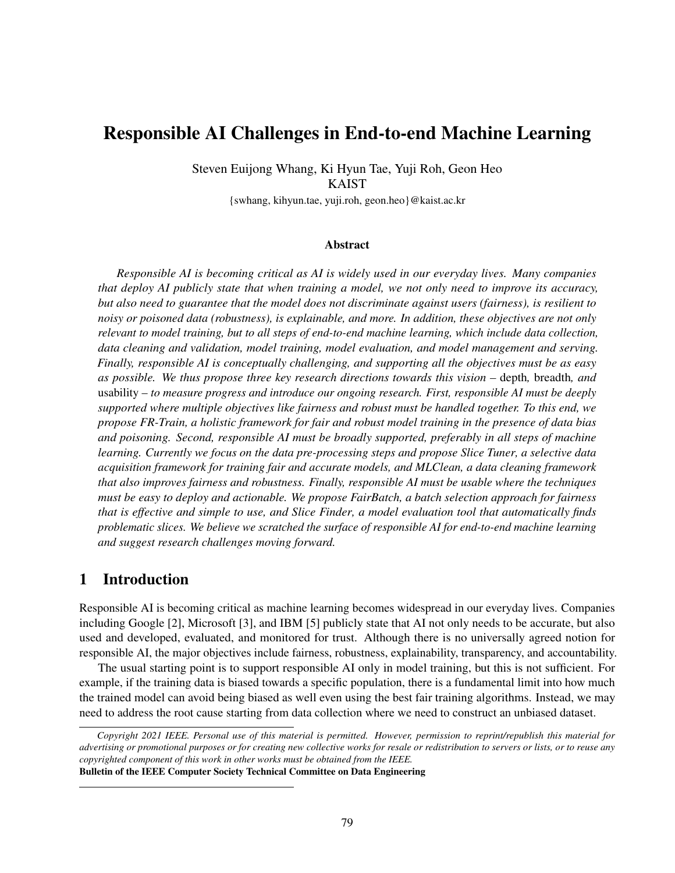# Responsible AI Challenges in End-to-end Machine Learning

Steven Euijong Whang, Ki Hyun Tae, Yuji Roh, Geon Heo KAIST

{swhang, kihyun.tae, yuji.roh, geon.heo}@kaist.ac.kr

#### Abstract

*Responsible AI is becoming critical as AI is widely used in our everyday lives. Many companies that deploy AI publicly state that when training a model, we not only need to improve its accuracy, but also need to guarantee that the model does not discriminate against users (fairness), is resilient to noisy or poisoned data (robustness), is explainable, and more. In addition, these objectives are not only relevant to model training, but to all steps of end-to-end machine learning, which include data collection, data cleaning and validation, model training, model evaluation, and model management and serving. Finally, responsible AI is conceptually challenging, and supporting all the objectives must be as easy as possible. We thus propose three key research directions towards this vision –* depth*,* breadth*, and* usability *– to measure progress and introduce our ongoing research. First, responsible AI must be deeply supported where multiple objectives like fairness and robust must be handled together. To this end, we propose FR-Train, a holistic framework for fair and robust model training in the presence of data bias and poisoning. Second, responsible AI must be broadly supported, preferably in all steps of machine learning. Currently we focus on the data pre-processing steps and propose Slice Tuner, a selective data acquisition framework for training fair and accurate models, and MLClean, a data cleaning framework that also improves fairness and robustness. Finally, responsible AI must be usable where the techniques must be easy to deploy and actionable. We propose FairBatch, a batch selection approach for fairness that is effective and simple to use, and Slice Finder, a model evaluation tool that automatically finds problematic slices. We believe we scratched the surface of responsible AI for end-to-end machine learning and suggest research challenges moving forward.*

### 1 Introduction

Responsible AI is becoming critical as machine learning becomes widespread in our everyday lives. Companies including Google [2], Microsoft [3], and IBM [5] publicly state that AI not only needs to be accurate, but also used and developed, evaluated, and monitored for trust. Although there is no universally agreed notion for responsible AI, the major objectives include fairness, robustness, explainability, transparency, and accountability.

The usual starting point is to support responsible AI only in model training, but this is not sufficient. For example, if the training data is biased towards a specific population, there is a fundamental limit into how much the trained model can avoid being biased as well even using the best fair training algorithms. Instead, we may need to address the root cause starting from data collection where we need to construct an unbiased dataset.

*Copyright 2021 IEEE. Personal use of this material is permitted. However, permission to reprint/republish this material for advertising or promotional purposes or for creating new collective works for resale or redistribution to servers or lists, or to reuse any copyrighted component of this work in other works must be obtained from the IEEE.* Bulletin of the IEEE Computer Society Technical Committee on Data Engineering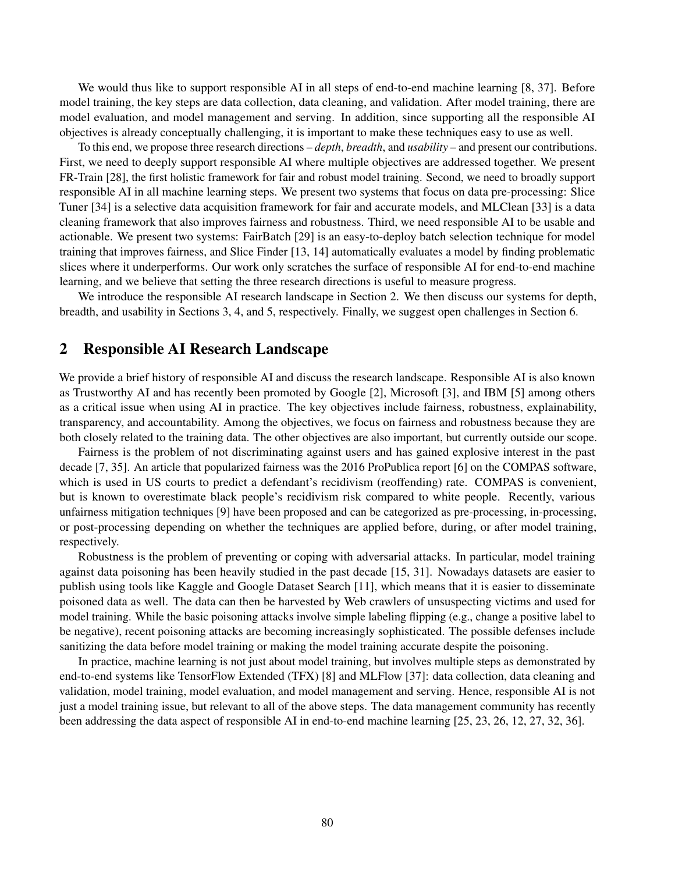We would thus like to support responsible AI in all steps of end-to-end machine learning [8, 37]. Before model training, the key steps are data collection, data cleaning, and validation. After model training, there are model evaluation, and model management and serving. In addition, since supporting all the responsible AI objectives is already conceptually challenging, it is important to make these techniques easy to use as well.

To this end, we propose three research directions – *depth*, *breadth*, and *usability* – and present our contributions. First, we need to deeply support responsible AI where multiple objectives are addressed together. We present FR-Train [28], the first holistic framework for fair and robust model training. Second, we need to broadly support responsible AI in all machine learning steps. We present two systems that focus on data pre-processing: Slice Tuner [34] is a selective data acquisition framework for fair and accurate models, and MLClean [33] is a data cleaning framework that also improves fairness and robustness. Third, we need responsible AI to be usable and actionable. We present two systems: FairBatch [29] is an easy-to-deploy batch selection technique for model training that improves fairness, and Slice Finder [13, 14] automatically evaluates a model by finding problematic slices where it underperforms. Our work only scratches the surface of responsible AI for end-to-end machine learning, and we believe that setting the three research directions is useful to measure progress.

We introduce the responsible AI research landscape in Section 2. We then discuss our systems for depth, breadth, and usability in Sections 3, 4, and 5, respectively. Finally, we suggest open challenges in Section 6.

### 2 Responsible AI Research Landscape

We provide a brief history of responsible AI and discuss the research landscape. Responsible AI is also known as Trustworthy AI and has recently been promoted by Google [2], Microsoft [3], and IBM [5] among others as a critical issue when using AI in practice. The key objectives include fairness, robustness, explainability, transparency, and accountability. Among the objectives, we focus on fairness and robustness because they are both closely related to the training data. The other objectives are also important, but currently outside our scope.

Fairness is the problem of not discriminating against users and has gained explosive interest in the past decade [7, 35]. An article that popularized fairness was the 2016 ProPublica report [6] on the COMPAS software, which is used in US courts to predict a defendant's recidivism (reoffending) rate. COMPAS is convenient, but is known to overestimate black people's recidivism risk compared to white people. Recently, various unfairness mitigation techniques [9] have been proposed and can be categorized as pre-processing, in-processing, or post-processing depending on whether the techniques are applied before, during, or after model training, respectively.

Robustness is the problem of preventing or coping with adversarial attacks. In particular, model training against data poisoning has been heavily studied in the past decade [15, 31]. Nowadays datasets are easier to publish using tools like Kaggle and Google Dataset Search [11], which means that it is easier to disseminate poisoned data as well. The data can then be harvested by Web crawlers of unsuspecting victims and used for model training. While the basic poisoning attacks involve simple labeling flipping (e.g., change a positive label to be negative), recent poisoning attacks are becoming increasingly sophisticated. The possible defenses include sanitizing the data before model training or making the model training accurate despite the poisoning.

In practice, machine learning is not just about model training, but involves multiple steps as demonstrated by end-to-end systems like TensorFlow Extended (TFX) [8] and MLFlow [37]: data collection, data cleaning and validation, model training, model evaluation, and model management and serving. Hence, responsible AI is not just a model training issue, but relevant to all of the above steps. The data management community has recently been addressing the data aspect of responsible AI in end-to-end machine learning [25, 23, 26, 12, 27, 32, 36].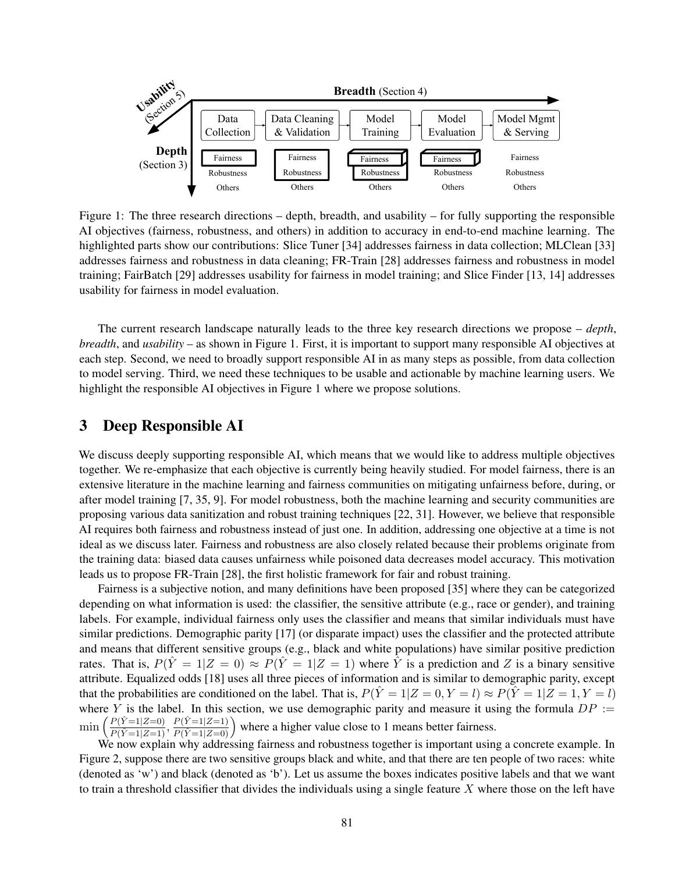

Figure 1: The three research directions – depth, breadth, and usability – for fully supporting the responsible AI objectives (fairness, robustness, and others) in addition to accuracy in end-to-end machine learning. The highlighted parts show our contributions: Slice Tuner [34] addresses fairness in data collection; MLClean [33] addresses fairness and robustness in data cleaning; FR-Train [28] addresses fairness and robustness in model training; FairBatch [29] addresses usability for fairness in model training; and Slice Finder [13, 14] addresses usability for fairness in model evaluation.

The current research landscape naturally leads to the three key research directions we propose – *depth*, *breadth*, and *usability* – as shown in Figure 1. First, it is important to support many responsible AI objectives at each step. Second, we need to broadly support responsible AI in as many steps as possible, from data collection to model serving. Third, we need these techniques to be usable and actionable by machine learning users. We highlight the responsible AI objectives in Figure 1 where we propose solutions.

### 3 Deep Responsible AI

We discuss deeply supporting responsible AI, which means that we would like to address multiple objectives together. We re-emphasize that each objective is currently being heavily studied. For model fairness, there is an extensive literature in the machine learning and fairness communities on mitigating unfairness before, during, or after model training [7, 35, 9]. For model robustness, both the machine learning and security communities are proposing various data sanitization and robust training techniques [22, 31]. However, we believe that responsible AI requires both fairness and robustness instead of just one. In addition, addressing one objective at a time is not ideal as we discuss later. Fairness and robustness are also closely related because their problems originate from the training data: biased data causes unfairness while poisoned data decreases model accuracy. This motivation leads us to propose FR-Train [28], the first holistic framework for fair and robust training.

Fairness is a subjective notion, and many definitions have been proposed [35] where they can be categorized depending on what information is used: the classifier, the sensitive attribute (e.g., race or gender), and training labels. For example, individual fairness only uses the classifier and means that similar individuals must have similar predictions. Demographic parity [17] (or disparate impact) uses the classifier and the protected attribute and means that different sensitive groups (e.g., black and white populations) have similar positive prediction rates. That is,  $P(\hat{Y} = 1 | Z = 0) \approx P(\hat{Y} = 1 | Z = 1)$  where  $\hat{Y}$  is a prediction and Z is a binary sensitive attribute. Equalized odds [18] uses all three pieces of information and is similar to demographic parity, except that the probabilities are conditioned on the label. That is,  $P(\hat{Y} = 1 | Z = 0, Y = l) \approx P(\hat{Y} = 1 | Z = 1, Y = l)$ where Y is the label. In this section, we use demographic parity and measure it using the formula  $DP :=$  $\min\left(\frac{P(\hat{Y}=1|Z=0)}{P(\hat{Y}=1|Z=1)},\frac{P(\hat{Y}=1|Z=1)}{P(\hat{Y}=1|Z=0)}\right)$ where a higher value close to 1 means better fairness.

We now explain why addressing fairness and robustness together is important using a concrete example. In Figure 2, suppose there are two sensitive groups black and white, and that there are ten people of two races: white (denoted as 'w') and black (denoted as 'b'). Let us assume the boxes indicates positive labels and that we want to train a threshold classifier that divides the individuals using a single feature  $X$  where those on the left have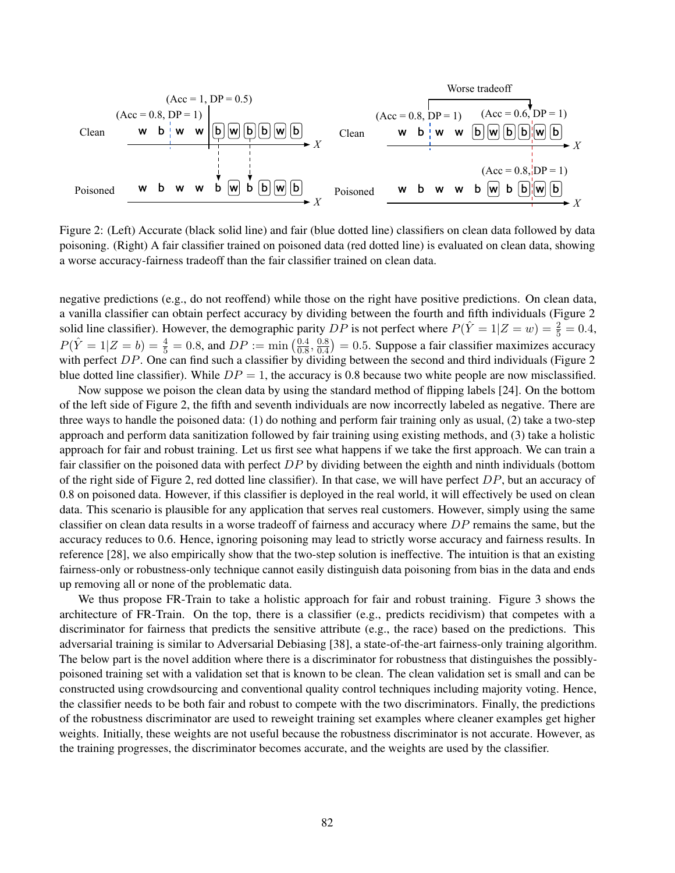

Figure 2: (Left) Accurate (black solid line) and fair (blue dotted line) classifiers on clean data followed by data poisoning. (Right) A fair classifier trained on poisoned data (red dotted line) is evaluated on clean data, showing a worse accuracy-fairness tradeoff than the fair classifier trained on clean data.

negative predictions (e.g., do not reoffend) while those on the right have positive predictions. On clean data, a vanilla classifier can obtain perfect accuracy by dividing between the fourth and fifth individuals (Figure 2 solid line classifier). However, the demographic parity DP is not perfect where  $P(\hat{Y} = 1 | Z = w) = \frac{2}{5} = 0.4$ ,  $P(\hat{Y} = 1 | Z = b) = \frac{4}{5} = 0.8$ , and  $DP := \min \left( \frac{0.4}{0.8} \right)$  $\frac{0.4}{0.8}, \frac{0.8}{0.4}$  $\left(\frac{0.8}{0.4}\right) = 0.5$ . Suppose a fair classifier maximizes accuracy with perfect DP. One can find such a classifier by dividing between the second and third individuals (Figure 2 blue dotted line classifier). While  $DP = 1$ , the accuracy is 0.8 because two white people are now misclassified.

Now suppose we poison the clean data by using the standard method of flipping labels [24]. On the bottom of the left side of Figure 2, the fifth and seventh individuals are now incorrectly labeled as negative. There are three ways to handle the poisoned data: (1) do nothing and perform fair training only as usual, (2) take a two-step approach and perform data sanitization followed by fair training using existing methods, and (3) take a holistic approach for fair and robust training. Let us first see what happens if we take the first approach. We can train a fair classifier on the poisoned data with perfect  $DP$  by dividing between the eighth and ninth individuals (bottom of the right side of Figure 2, red dotted line classifier). In that case, we will have perfect  $DP$ , but an accuracy of 0.8 on poisoned data. However, if this classifier is deployed in the real world, it will effectively be used on clean data. This scenario is plausible for any application that serves real customers. However, simply using the same classifier on clean data results in a worse tradeoff of fairness and accuracy where  $DP$  remains the same, but the accuracy reduces to 0.6. Hence, ignoring poisoning may lead to strictly worse accuracy and fairness results. In reference [28], we also empirically show that the two-step solution is ineffective. The intuition is that an existing fairness-only or robustness-only technique cannot easily distinguish data poisoning from bias in the data and ends up removing all or none of the problematic data.

We thus propose FR-Train to take a holistic approach for fair and robust training. Figure 3 shows the architecture of FR-Train. On the top, there is a classifier (e.g., predicts recidivism) that competes with a discriminator for fairness that predicts the sensitive attribute (e.g., the race) based on the predictions. This adversarial training is similar to Adversarial Debiasing [38], a state-of-the-art fairness-only training algorithm. The below part is the novel addition where there is a discriminator for robustness that distinguishes the possiblypoisoned training set with a validation set that is known to be clean. The clean validation set is small and can be constructed using crowdsourcing and conventional quality control techniques including majority voting. Hence, the classifier needs to be both fair and robust to compete with the two discriminators. Finally, the predictions of the robustness discriminator are used to reweight training set examples where cleaner examples get higher weights. Initially, these weights are not useful because the robustness discriminator is not accurate. However, as the training progresses, the discriminator becomes accurate, and the weights are used by the classifier.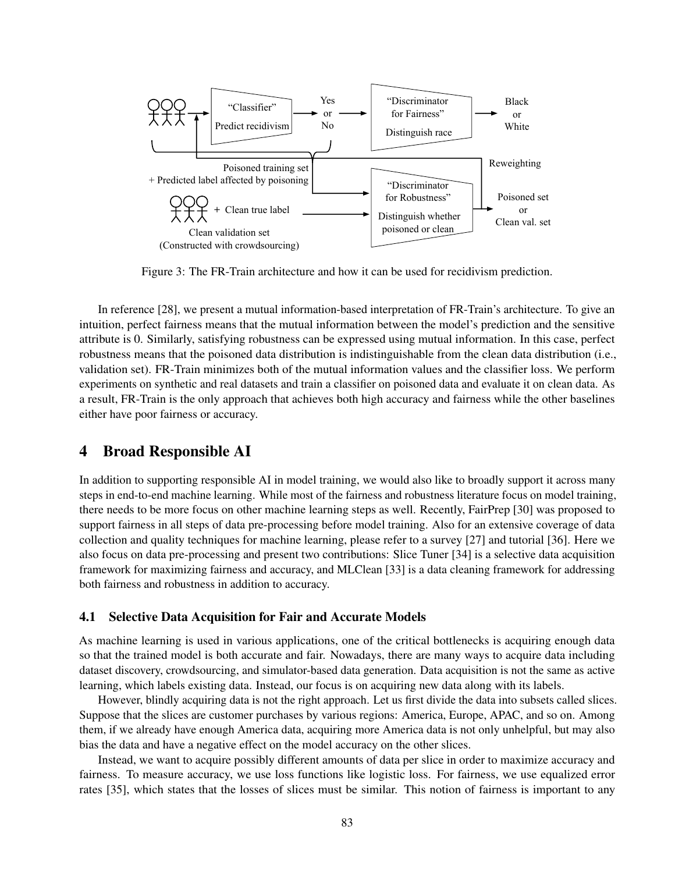

Figure 3: The FR-Train architecture and how it can be used for recidivism prediction.

In reference [28], we present a mutual information-based interpretation of FR-Train's architecture. To give an intuition, perfect fairness means that the mutual information between the model's prediction and the sensitive attribute is 0. Similarly, satisfying robustness can be expressed using mutual information. In this case, perfect robustness means that the poisoned data distribution is indistinguishable from the clean data distribution (i.e., validation set). FR-Train minimizes both of the mutual information values and the classifier loss. We perform experiments on synthetic and real datasets and train a classifier on poisoned data and evaluate it on clean data. As a result, FR-Train is the only approach that achieves both high accuracy and fairness while the other baselines either have poor fairness or accuracy.

### 4 Broad Responsible AI

In addition to supporting responsible AI in model training, we would also like to broadly support it across many steps in end-to-end machine learning. While most of the fairness and robustness literature focus on model training, there needs to be more focus on other machine learning steps as well. Recently, FairPrep [30] was proposed to support fairness in all steps of data pre-processing before model training. Also for an extensive coverage of data collection and quality techniques for machine learning, please refer to a survey [27] and tutorial [36]. Here we also focus on data pre-processing and present two contributions: Slice Tuner [34] is a selective data acquisition framework for maximizing fairness and accuracy, and MLClean [33] is a data cleaning framework for addressing both fairness and robustness in addition to accuracy.

#### 4.1 Selective Data Acquisition for Fair and Accurate Models

As machine learning is used in various applications, one of the critical bottlenecks is acquiring enough data so that the trained model is both accurate and fair. Nowadays, there are many ways to acquire data including dataset discovery, crowdsourcing, and simulator-based data generation. Data acquisition is not the same as active learning, which labels existing data. Instead, our focus is on acquiring new data along with its labels.

However, blindly acquiring data is not the right approach. Let us first divide the data into subsets called slices. Suppose that the slices are customer purchases by various regions: America, Europe, APAC, and so on. Among them, if we already have enough America data, acquiring more America data is not only unhelpful, but may also bias the data and have a negative effect on the model accuracy on the other slices.

Instead, we want to acquire possibly different amounts of data per slice in order to maximize accuracy and fairness. To measure accuracy, we use loss functions like logistic loss. For fairness, we use equalized error rates [35], which states that the losses of slices must be similar. This notion of fairness is important to any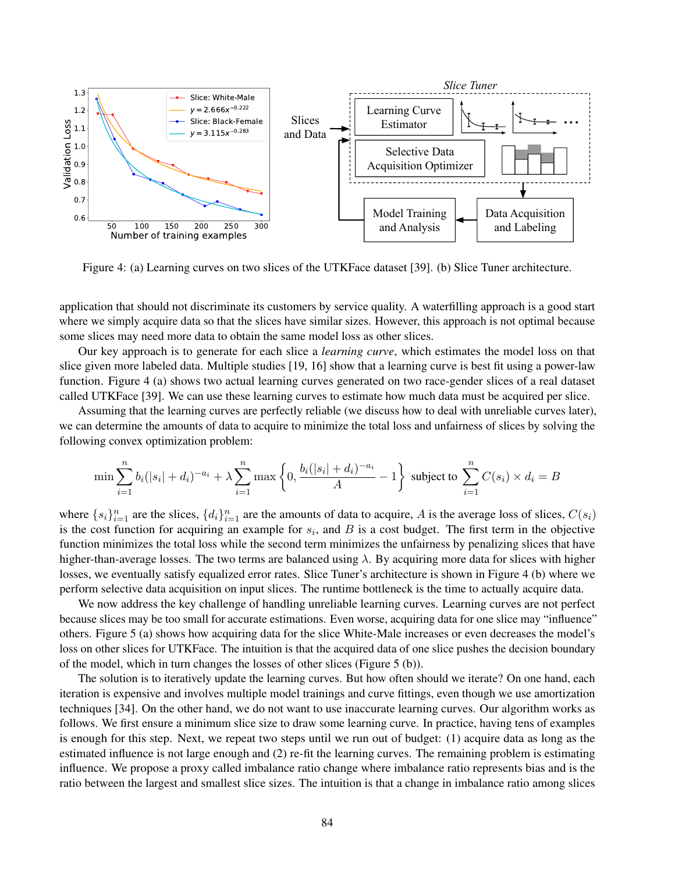

Figure 4: (a) Learning curves on two slices of the UTKFace dataset [39]. (b) Slice Tuner architecture.

application that should not discriminate its customers by service quality. A waterfilling approach is a good start where we simply acquire data so that the slices have similar sizes. However, this approach is not optimal because some slices may need more data to obtain the same model loss as other slices.

Our key approach is to generate for each slice a *learning curve*, which estimates the model loss on that slice given more labeled data. Multiple studies [19, 16] show that a learning curve is best fit using a power-law function. Figure 4 (a) shows two actual learning curves generated on two race-gender slices of a real dataset called UTKFace [39]. We can use these learning curves to estimate how much data must be acquired per slice.

Assuming that the learning curves are perfectly reliable (we discuss how to deal with unreliable curves later), we can determine the amounts of data to acquire to minimize the total loss and unfairness of slices by solving the following convex optimization problem:

$$
\min \sum_{i=1}^{n} b_i (|s_i| + d_i)^{-a_i} + \lambda \sum_{i=1}^{n} \max \left\{ 0, \frac{b_i (|s_i| + d_i)^{-a_i}}{A} - 1 \right\} \text{ subject to } \sum_{i=1}^{n} C(s_i) \times d_i = B
$$

where  $\{s_i\}_{i=1}^n$  are the slices,  $\{d_i\}_{i=1}^n$  are the amounts of data to acquire, A is the average loss of slices,  $C(s_i)$ is the cost function for acquiring an example for  $s_i$ , and  $B$  is a cost budget. The first term in the objective function minimizes the total loss while the second term minimizes the unfairness by penalizing slices that have higher-than-average losses. The two terms are balanced using  $\lambda$ . By acquiring more data for slices with higher losses, we eventually satisfy equalized error rates. Slice Tuner's architecture is shown in Figure 4 (b) where we perform selective data acquisition on input slices. The runtime bottleneck is the time to actually acquire data.

We now address the key challenge of handling unreliable learning curves. Learning curves are not perfect because slices may be too small for accurate estimations. Even worse, acquiring data for one slice may "influence" others. Figure 5 (a) shows how acquiring data for the slice White-Male increases or even decreases the model's loss on other slices for UTKFace. The intuition is that the acquired data of one slice pushes the decision boundary of the model, which in turn changes the losses of other slices (Figure 5 (b)).

The solution is to iteratively update the learning curves. But how often should we iterate? On one hand, each iteration is expensive and involves multiple model trainings and curve fittings, even though we use amortization techniques [34]. On the other hand, we do not want to use inaccurate learning curves. Our algorithm works as follows. We first ensure a minimum slice size to draw some learning curve. In practice, having tens of examples is enough for this step. Next, we repeat two steps until we run out of budget: (1) acquire data as long as the estimated influence is not large enough and (2) re-fit the learning curves. The remaining problem is estimating influence. We propose a proxy called imbalance ratio change where imbalance ratio represents bias and is the ratio between the largest and smallest slice sizes. The intuition is that a change in imbalance ratio among slices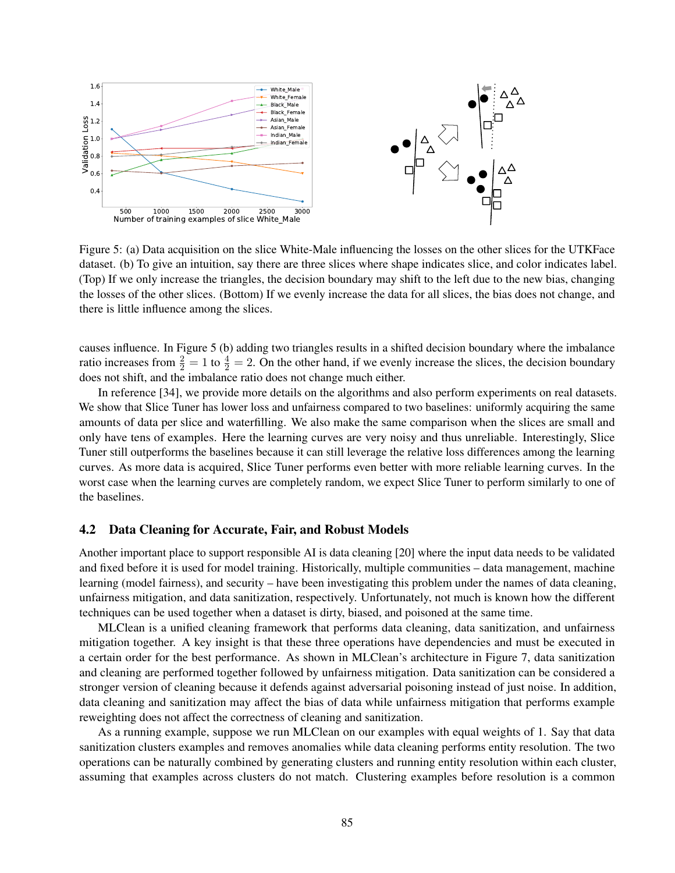

Figure 5: (a) Data acquisition on the slice White-Male influencing the losses on the other slices for the UTKFace dataset. (b) To give an intuition, say there are three slices where shape indicates slice, and color indicates label. (Top) If we only increase the triangles, the decision boundary may shift to the left due to the new bias, changing the losses of the other slices. (Bottom) If we evenly increase the data for all slices, the bias does not change, and there is little influence among the slices.

causes influence. In Figure 5 (b) adding two triangles results in a shifted decision boundary where the imbalance ratio increases from  $\frac{2}{2} = 1$  to  $\frac{4}{2} = 2$ . On the other hand, if we evenly increase the slices, the decision boundary does not shift, and the imbalance ratio does not change much either.

In reference [34], we provide more details on the algorithms and also perform experiments on real datasets. We show that Slice Tuner has lower loss and unfairness compared to two baselines: uniformly acquiring the same amounts of data per slice and waterfilling. We also make the same comparison when the slices are small and only have tens of examples. Here the learning curves are very noisy and thus unreliable. Interestingly, Slice Tuner still outperforms the baselines because it can still leverage the relative loss differences among the learning curves. As more data is acquired, Slice Tuner performs even better with more reliable learning curves. In the worst case when the learning curves are completely random, we expect Slice Tuner to perform similarly to one of the baselines.

#### 4.2 Data Cleaning for Accurate, Fair, and Robust Models

Another important place to support responsible AI is data cleaning [20] where the input data needs to be validated and fixed before it is used for model training. Historically, multiple communities – data management, machine learning (model fairness), and security – have been investigating this problem under the names of data cleaning, unfairness mitigation, and data sanitization, respectively. Unfortunately, not much is known how the different techniques can be used together when a dataset is dirty, biased, and poisoned at the same time.

MLClean is a unified cleaning framework that performs data cleaning, data sanitization, and unfairness mitigation together. A key insight is that these three operations have dependencies and must be executed in a certain order for the best performance. As shown in MLClean's architecture in Figure 7, data sanitization and cleaning are performed together followed by unfairness mitigation. Data sanitization can be considered a stronger version of cleaning because it defends against adversarial poisoning instead of just noise. In addition, data cleaning and sanitization may affect the bias of data while unfairness mitigation that performs example reweighting does not affect the correctness of cleaning and sanitization.

As a running example, suppose we run MLClean on our examples with equal weights of 1. Say that data sanitization clusters examples and removes anomalies while data cleaning performs entity resolution. The two operations can be naturally combined by generating clusters and running entity resolution within each cluster, assuming that examples across clusters do not match. Clustering examples before resolution is a common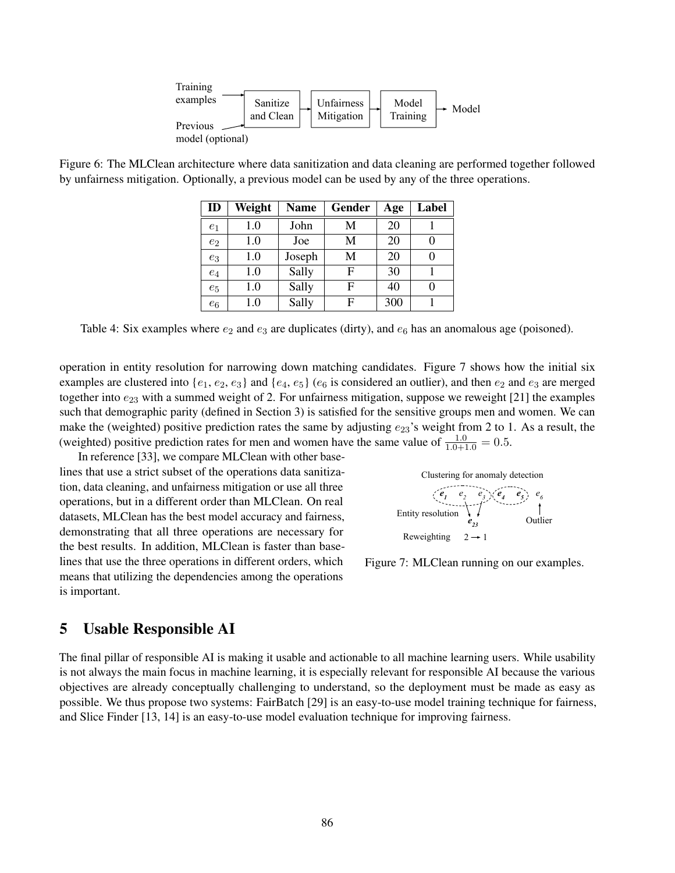

Figure 6: The MLClean architecture where data sanitization and data cleaning are performed together followed by unfairness mitigation. Optionally, a previous model can be used by any of the three operations.

| ID             | Weight  | <b>Name</b> | Gender | Age | Label |
|----------------|---------|-------------|--------|-----|-------|
| e <sub>1</sub> | 1.0     | John        | M      | 20  |       |
| $e_2$          | 1.0     | Joe         | М      | 20  |       |
| $e_3$          | 1.0     | Joseph      | М      | 20  | 0     |
| $e_4$          | 1.0     | Sally       | F      | 30  |       |
| $e_5$          | 1.0     | Sally       | F      | 40  | 0     |
| $e_6$          | $1.0\,$ | Sally       | F      | 300 |       |

Table 4: Six examples where  $e_2$  and  $e_3$  are duplicates (dirty), and  $e_6$  has an anomalous age (poisoned).

operation in entity resolution for narrowing down matching candidates. Figure 7 shows how the initial six examples are clustered into { $e_1, e_2, e_3$ } and { $e_4, e_5$ } ( $e_6$  is considered an outlier), and then  $e_2$  and  $e_3$  are merged together into  $e_{23}$  with a summed weight of 2. For unfairness mitigation, suppose we reweight [21] the examples such that demographic parity (defined in Section 3) is satisfied for the sensitive groups men and women. We can make the (weighted) positive prediction rates the same by adjusting  $e_{23}$ 's weight from 2 to 1. As a result, the (weighted) positive prediction rates for men and women have the same value of  $\frac{1.0}{1.0+1.0} = 0.5$ .

In reference [33], we compare MLClean with other baselines that use a strict subset of the operations data sanitization, data cleaning, and unfairness mitigation or use all three operations, but in a different order than MLClean. On real datasets, MLClean has the best model accuracy and fairness, demonstrating that all three operations are necessary for the best results. In addition, MLClean is faster than baselines that use the three operations in different orders, which means that utilizing the dependencies among the operations is important.



Figure 7: MLClean running on our examples.

### 5 Usable Responsible AI

The final pillar of responsible AI is making it usable and actionable to all machine learning users. While usability is not always the main focus in machine learning, it is especially relevant for responsible AI because the various objectives are already conceptually challenging to understand, so the deployment must be made as easy as possible. We thus propose two systems: FairBatch [29] is an easy-to-use model training technique for fairness, and Slice Finder [13, 14] is an easy-to-use model evaluation technique for improving fairness.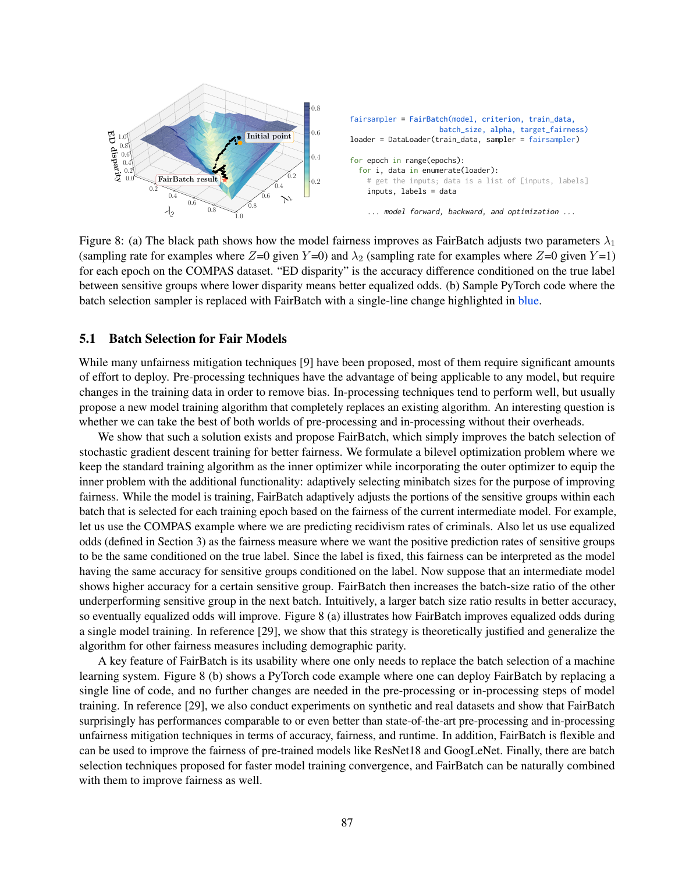

Figure 8: (a) The black path shows how the model fairness improves as FairBatch adjusts two parameters  $\lambda_1$ (sampling rate for examples where  $Z=0$  given  $Y=0$ ) and  $\lambda_2$  (sampling rate for examples where  $Z=0$  given  $Y=1$ ) for each epoch on the COMPAS dataset. "ED disparity" is the accuracy difference conditioned on the true label between sensitive groups where lower disparity means better equalized odds. (b) Sample PyTorch code where the batch selection sampler is replaced with FairBatch with a single-line change highlighted in blue.

#### 5.1 Batch Selection for Fair Models

While many unfairness mitigation techniques [9] have been proposed, most of them require significant amounts of effort to deploy. Pre-processing techniques have the advantage of being applicable to any model, but require changes in the training data in order to remove bias. In-processing techniques tend to perform well, but usually propose a new model training algorithm that completely replaces an existing algorithm. An interesting question is whether we can take the best of both worlds of pre-processing and in-processing without their overheads.

We show that such a solution exists and propose FairBatch, which simply improves the batch selection of stochastic gradient descent training for better fairness. We formulate a bilevel optimization problem where we keep the standard training algorithm as the inner optimizer while incorporating the outer optimizer to equip the inner problem with the additional functionality: adaptively selecting minibatch sizes for the purpose of improving fairness. While the model is training, FairBatch adaptively adjusts the portions of the sensitive groups within each batch that is selected for each training epoch based on the fairness of the current intermediate model. For example, let us use the COMPAS example where we are predicting recidivism rates of criminals. Also let us use equalized odds (defined in Section 3) as the fairness measure where we want the positive prediction rates of sensitive groups to be the same conditioned on the true label. Since the label is fixed, this fairness can be interpreted as the model having the same accuracy for sensitive groups conditioned on the label. Now suppose that an intermediate model shows higher accuracy for a certain sensitive group. FairBatch then increases the batch-size ratio of the other underperforming sensitive group in the next batch. Intuitively, a larger batch size ratio results in better accuracy, so eventually equalized odds will improve. Figure 8 (a) illustrates how FairBatch improves equalized odds during a single model training. In reference [29], we show that this strategy is theoretically justified and generalize the algorithm for other fairness measures including demographic parity.

A key feature of FairBatch is its usability where one only needs to replace the batch selection of a machine learning system. Figure 8 (b) shows a PyTorch code example where one can deploy FairBatch by replacing a single line of code, and no further changes are needed in the pre-processing or in-processing steps of model training. In reference [29], we also conduct experiments on synthetic and real datasets and show that FairBatch surprisingly has performances comparable to or even better than state-of-the-art pre-processing and in-processing unfairness mitigation techniques in terms of accuracy, fairness, and runtime. In addition, FairBatch is flexible and can be used to improve the fairness of pre-trained models like ResNet18 and GoogLeNet. Finally, there are batch selection techniques proposed for faster model training convergence, and FairBatch can be naturally combined with them to improve fairness as well.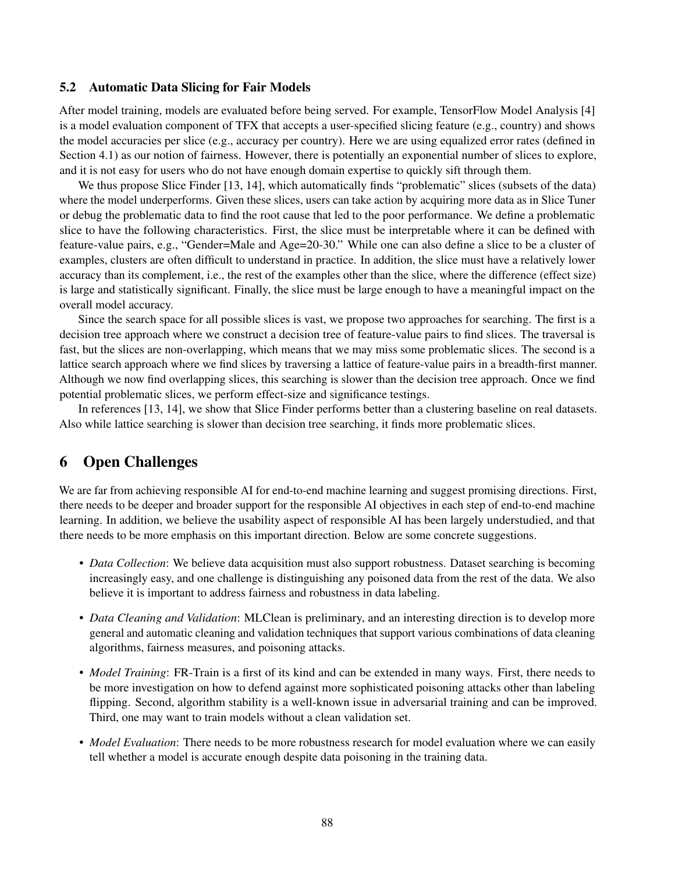#### 5.2 Automatic Data Slicing for Fair Models

After model training, models are evaluated before being served. For example, TensorFlow Model Analysis [4] is a model evaluation component of TFX that accepts a user-specified slicing feature (e.g., country) and shows the model accuracies per slice (e.g., accuracy per country). Here we are using equalized error rates (defined in Section 4.1) as our notion of fairness. However, there is potentially an exponential number of slices to explore, and it is not easy for users who do not have enough domain expertise to quickly sift through them.

We thus propose Slice Finder [13, 14], which automatically finds "problematic" slices (subsets of the data) where the model underperforms. Given these slices, users can take action by acquiring more data as in Slice Tuner or debug the problematic data to find the root cause that led to the poor performance. We define a problematic slice to have the following characteristics. First, the slice must be interpretable where it can be defined with feature-value pairs, e.g., "Gender=Male and Age=20-30." While one can also define a slice to be a cluster of examples, clusters are often difficult to understand in practice. In addition, the slice must have a relatively lower accuracy than its complement, i.e., the rest of the examples other than the slice, where the difference (effect size) is large and statistically significant. Finally, the slice must be large enough to have a meaningful impact on the overall model accuracy.

Since the search space for all possible slices is vast, we propose two approaches for searching. The first is a decision tree approach where we construct a decision tree of feature-value pairs to find slices. The traversal is fast, but the slices are non-overlapping, which means that we may miss some problematic slices. The second is a lattice search approach where we find slices by traversing a lattice of feature-value pairs in a breadth-first manner. Although we now find overlapping slices, this searching is slower than the decision tree approach. Once we find potential problematic slices, we perform effect-size and significance testings.

In references [13, 14], we show that Slice Finder performs better than a clustering baseline on real datasets. Also while lattice searching is slower than decision tree searching, it finds more problematic slices.

### 6 Open Challenges

We are far from achieving responsible AI for end-to-end machine learning and suggest promising directions. First, there needs to be deeper and broader support for the responsible AI objectives in each step of end-to-end machine learning. In addition, we believe the usability aspect of responsible AI has been largely understudied, and that there needs to be more emphasis on this important direction. Below are some concrete suggestions.

- *Data Collection*: We believe data acquisition must also support robustness. Dataset searching is becoming increasingly easy, and one challenge is distinguishing any poisoned data from the rest of the data. We also believe it is important to address fairness and robustness in data labeling.
- *Data Cleaning and Validation*: MLClean is preliminary, and an interesting direction is to develop more general and automatic cleaning and validation techniques that support various combinations of data cleaning algorithms, fairness measures, and poisoning attacks.
- *Model Training*: FR-Train is a first of its kind and can be extended in many ways. First, there needs to be more investigation on how to defend against more sophisticated poisoning attacks other than labeling flipping. Second, algorithm stability is a well-known issue in adversarial training and can be improved. Third, one may want to train models without a clean validation set.
- *Model Evaluation*: There needs to be more robustness research for model evaluation where we can easily tell whether a model is accurate enough despite data poisoning in the training data.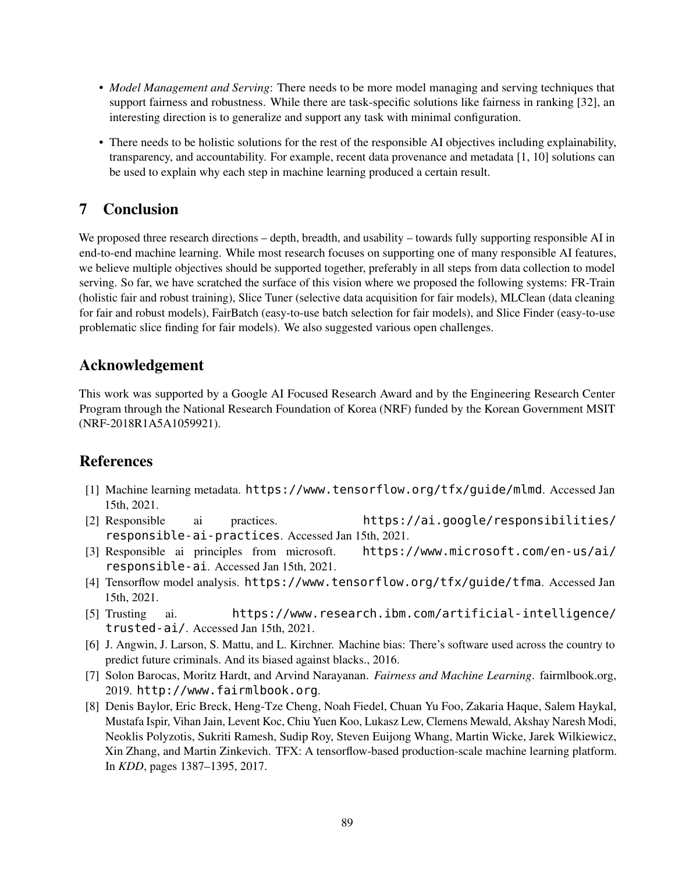- *Model Management and Serving*: There needs to be more model managing and serving techniques that support fairness and robustness. While there are task-specific solutions like fairness in ranking [32], an interesting direction is to generalize and support any task with minimal configuration.
- There needs to be holistic solutions for the rest of the responsible AI objectives including explainability, transparency, and accountability. For example, recent data provenance and metadata [1, 10] solutions can be used to explain why each step in machine learning produced a certain result.

# 7 Conclusion

We proposed three research directions – depth, breadth, and usability – towards fully supporting responsible AI in end-to-end machine learning. While most research focuses on supporting one of many responsible AI features, we believe multiple objectives should be supported together, preferably in all steps from data collection to model serving. So far, we have scratched the surface of this vision where we proposed the following systems: FR-Train (holistic fair and robust training), Slice Tuner (selective data acquisition for fair models), MLClean (data cleaning for fair and robust models), FairBatch (easy-to-use batch selection for fair models), and Slice Finder (easy-to-use problematic slice finding for fair models). We also suggested various open challenges.

# Acknowledgement

This work was supported by a Google AI Focused Research Award and by the Engineering Research Center Program through the National Research Foundation of Korea (NRF) funded by the Korean Government MSIT (NRF-2018R1A5A1059921).

## References

- [1] Machine learning metadata. https://www.tensorflow.org/tfx/guide/mlmd. Accessed Jan 15th, 2021.
- [2] Responsible ai practices. https://ai.google/responsibilities/ responsible-ai-practices. Accessed Jan 15th, 2021.
- [3] Responsible ai principles from microsoft. https://www.microsoft.com/en-us/ai/ responsible-ai. Accessed Jan 15th, 2021.
- [4] Tensorflow model analysis. https://www.tensorflow.org/tfx/guide/tfma. Accessed Jan 15th, 2021.
- [5] Trusting ai. https://www.research.ibm.com/artificial-intelligence/ trusted-ai/. Accessed Jan 15th, 2021.
- [6] J. Angwin, J. Larson, S. Mattu, and L. Kirchner. Machine bias: There's software used across the country to predict future criminals. And its biased against blacks., 2016.
- [7] Solon Barocas, Moritz Hardt, and Arvind Narayanan. *Fairness and Machine Learning*. fairmlbook.org, 2019. http://www.fairmlbook.org.
- [8] Denis Baylor, Eric Breck, Heng-Tze Cheng, Noah Fiedel, Chuan Yu Foo, Zakaria Haque, Salem Haykal, Mustafa Ispir, Vihan Jain, Levent Koc, Chiu Yuen Koo, Lukasz Lew, Clemens Mewald, Akshay Naresh Modi, Neoklis Polyzotis, Sukriti Ramesh, Sudip Roy, Steven Euijong Whang, Martin Wicke, Jarek Wilkiewicz, Xin Zhang, and Martin Zinkevich. TFX: A tensorflow-based production-scale machine learning platform. In *KDD*, pages 1387–1395, 2017.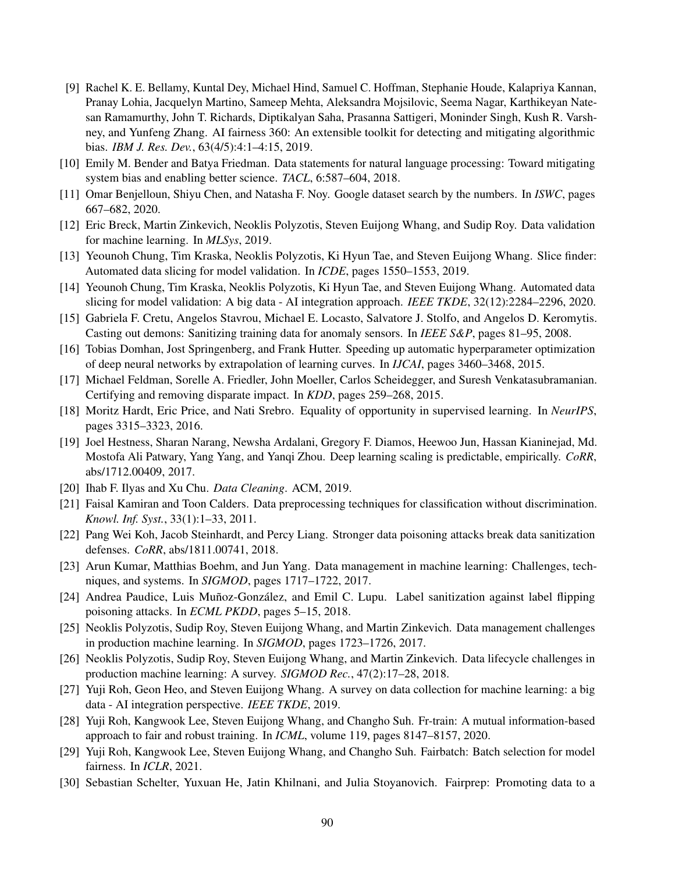- [9] Rachel K. E. Bellamy, Kuntal Dey, Michael Hind, Samuel C. Hoffman, Stephanie Houde, Kalapriya Kannan, Pranay Lohia, Jacquelyn Martino, Sameep Mehta, Aleksandra Mojsilovic, Seema Nagar, Karthikeyan Natesan Ramamurthy, John T. Richards, Diptikalyan Saha, Prasanna Sattigeri, Moninder Singh, Kush R. Varshney, and Yunfeng Zhang. AI fairness 360: An extensible toolkit for detecting and mitigating algorithmic bias. *IBM J. Res. Dev.*, 63(4/5):4:1–4:15, 2019.
- [10] Emily M. Bender and Batya Friedman. Data statements for natural language processing: Toward mitigating system bias and enabling better science. *TACL*, 6:587–604, 2018.
- [11] Omar Benjelloun, Shiyu Chen, and Natasha F. Noy. Google dataset search by the numbers. In *ISWC*, pages 667–682, 2020.
- [12] Eric Breck, Martin Zinkevich, Neoklis Polyzotis, Steven Euijong Whang, and Sudip Roy. Data validation for machine learning. In *MLSys*, 2019.
- [13] Yeounoh Chung, Tim Kraska, Neoklis Polyzotis, Ki Hyun Tae, and Steven Euijong Whang. Slice finder: Automated data slicing for model validation. In *ICDE*, pages 1550–1553, 2019.
- [14] Yeounoh Chung, Tim Kraska, Neoklis Polyzotis, Ki Hyun Tae, and Steven Euijong Whang. Automated data slicing for model validation: A big data - AI integration approach. *IEEE TKDE*, 32(12):2284–2296, 2020.
- [15] Gabriela F. Cretu, Angelos Stavrou, Michael E. Locasto, Salvatore J. Stolfo, and Angelos D. Keromytis. Casting out demons: Sanitizing training data for anomaly sensors. In *IEEE S&P*, pages 81–95, 2008.
- [16] Tobias Domhan, Jost Springenberg, and Frank Hutter. Speeding up automatic hyperparameter optimization of deep neural networks by extrapolation of learning curves. In *IJCAI*, pages 3460–3468, 2015.
- [17] Michael Feldman, Sorelle A. Friedler, John Moeller, Carlos Scheidegger, and Suresh Venkatasubramanian. Certifying and removing disparate impact. In *KDD*, pages 259–268, 2015.
- [18] Moritz Hardt, Eric Price, and Nati Srebro. Equality of opportunity in supervised learning. In *NeurIPS*, pages 3315–3323, 2016.
- [19] Joel Hestness, Sharan Narang, Newsha Ardalani, Gregory F. Diamos, Heewoo Jun, Hassan Kianinejad, Md. Mostofa Ali Patwary, Yang Yang, and Yanqi Zhou. Deep learning scaling is predictable, empirically. *CoRR*, abs/1712.00409, 2017.
- [20] Ihab F. Ilyas and Xu Chu. *Data Cleaning*. ACM, 2019.
- [21] Faisal Kamiran and Toon Calders. Data preprocessing techniques for classification without discrimination. *Knowl. Inf. Syst.*, 33(1):1–33, 2011.
- [22] Pang Wei Koh, Jacob Steinhardt, and Percy Liang. Stronger data poisoning attacks break data sanitization defenses. *CoRR*, abs/1811.00741, 2018.
- [23] Arun Kumar, Matthias Boehm, and Jun Yang. Data management in machine learning: Challenges, techniques, and systems. In *SIGMOD*, pages 1717–1722, 2017.
- [24] Andrea Paudice, Luis Muñoz-González, and Emil C. Lupu. Label sanitization against label flipping poisoning attacks. In *ECML PKDD*, pages 5–15, 2018.
- [25] Neoklis Polyzotis, Sudip Roy, Steven Euijong Whang, and Martin Zinkevich. Data management challenges in production machine learning. In *SIGMOD*, pages 1723–1726, 2017.
- [26] Neoklis Polyzotis, Sudip Roy, Steven Euijong Whang, and Martin Zinkevich. Data lifecycle challenges in production machine learning: A survey. *SIGMOD Rec.*, 47(2):17–28, 2018.
- [27] Yuji Roh, Geon Heo, and Steven Euijong Whang. A survey on data collection for machine learning: a big data - AI integration perspective. *IEEE TKDE*, 2019.
- [28] Yuji Roh, Kangwook Lee, Steven Euijong Whang, and Changho Suh. Fr-train: A mutual information-based approach to fair and robust training. In *ICML*, volume 119, pages 8147–8157, 2020.
- [29] Yuji Roh, Kangwook Lee, Steven Euijong Whang, and Changho Suh. Fairbatch: Batch selection for model fairness. In *ICLR*, 2021.
- [30] Sebastian Schelter, Yuxuan He, Jatin Khilnani, and Julia Stoyanovich. Fairprep: Promoting data to a